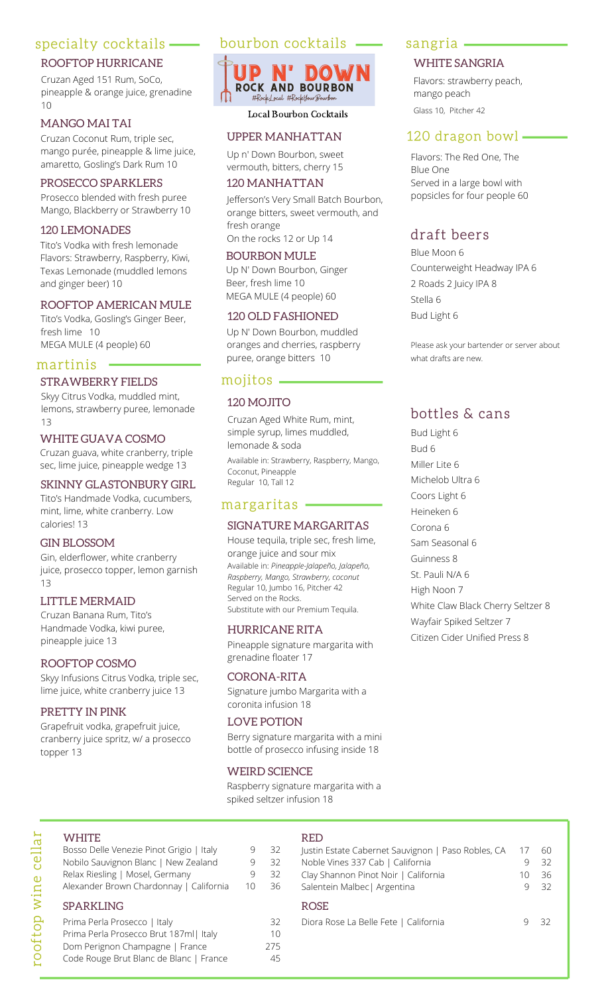# specialty cocktails

## ROOFTOP HURRICANE

Cruzan Aged 151 Rum, SoCo, pineapple & orange juice, grenadine 10

## MANGO MAI TAI

Cruzan Coconut Rum, triple sec, mango purée, pineapple & lime juice, amaretto, Gosling's Dark Rum 10

#### PROSECCO SPARKLERS

Prosecco blended with fresh puree Mango, Blackberry or Strawberry 10

## 120 LEMONADES

Tito's Vodka with fresh lemonade Flavors: Strawberry, Raspberry, Kiwi, Texas Lemonade (muddled lemons and ginger beer) 10

### ROOFTOP AMERICAN MULE

Tito's Vodka, Gosling's Ginger Beer, fresh lime 10 MEGA MULE (4 people) 60

## martinis

### STRAWBERRY FIELDS

Skyy Citrus Vodka, muddled mint, lemons, strawberry puree, lemonade 13

## WHITE GUAVA COSMO

Cruzan guava, white cranberry, triple sec, lime juice, pineapple wedge 13

## SKINNY GLASTONBURY GIRL

Tito's Handmade Vodka, cucumbers, mint, lime, white cranberry. Low calories! 13

## GIN BLOSSOM

Gin, elderflower, white cranberry juice, prosecco topper, lemon garnish 13

### LITTLE MERMAID

Cruzan Banana Rum, Tito's Handmade Vodka, kiwi puree, pineapple juice 13

### ROOFTOP COSMO

Skyy Infusions Citrus Vodka, triple sec, lime juice, white cranberry juice 13

### PRETTY IN PINK

Grapefruit vodka, grapefruit juice, cranberry juice spritz, w/ a prosecco topper 13

## bourbon cocktails



Local Bourbon Cocktails

## UPPER MANHATTAN

Up n' Down Bourbon, sweet vermouth, bitters, cherry 15

## 120 MANHATTAN

Jefferson's Very Small Batch Bourbon, orange bitters, sweet vermouth, and fresh orange On the rocks 12 or Up 14

## BOURBON MULE

Up N' Down Bourbon, Ginger Beer, fresh lime 10 MEGA MULE (4 people) 60

#### 120 OLD FASHIONED

Up N' Down Bourbon, muddled oranges and cherries, raspberry puree, orange bitters 10

## mojitos

## 120 MOJITO

Cruzan Aged White Rum, mint, simple syrup, limes muddled, lemonade & soda Available in: Strawberry, Raspberry, Mango, Coconut, Pineapple Regular 10, Tall 12

## margaritas

### SIGNATURE MARGARITAS

House tequila, triple sec, fresh lime, orange juice and sour mix Available in: *Pineapple-Jalapeño, Jalapeño, Raspberry, Mango, Strawberry, coconut* Regular 10, Jumbo 16, Pitcher 42 Served on the Rocks. Substitute with our Premium Tequila.

### HURRICANE RITA

Pineapple signature margarita with grenadine floater 17

## CORONA-RITA

Signature jumbo Margarita with a coronita infusion 18

## LOVE POTION

Berry signature margarita with a mini bottle of prosecco infusing inside 18

### WEIRD SCIENCE

Raspberry signature margarita with a spiked seltzer infusion 18

## sangria

## WHITE SANGRIA

Flavors: strawberry peach, mango peach Glass 10, Pitcher 42

# 120 dragon bowl

Flavors: The Red One, The Blue One Served in a large bowl with popsicles for four people 60

# draft beers

Blue Moon 6 Counterweight Headway IPA 6 2 Roads 2 Juicy IPA 8 Stella 6 Bud Light 6

Please ask your bartender or server about what drafts are new.

# bottles & cans

Bud Light 6 Bud 6 Miller Lite 6 Michelob Ultra 6 Coors Light 6 Heineken 6 Corona 6 Sam Seasonal 6 Guinness 8 St. Pauli N/A 6 High Noon 7 White Claw Black Cherry Seltzer 8 Wayfair Spiked Seltzer 7 Citizen Cider Unified Press 8

#### **WHITE**

| Bosso Delle Venezie Pinot Grigio   Italy |  |  |  |
|------------------------------------------|--|--|--|
| Nobilo Sauvignon Blanc   New Zealand     |  |  |  |
| Relax Riesling   Mosel, Germany          |  |  |  |
| Alexander Brown Chardonnay   California  |  |  |  |
| <b>SPARKLING</b>                         |  |  |  |
| Prima Perla Prosecco   Italy             |  |  |  |

| Prima Perla Prosecco   Italy            |
|-----------------------------------------|
| Prima Perla Prosecco Brut 187ml   Italy |
| Dom Perignon Champagne   France         |
| Code Rouge Brut Blanc de Blanc   France |

# RED

| Justin Estate Cabernet Sauvignon   Paso Robles, CA |    | 60    |  |
|----------------------------------------------------|----|-------|--|
| Noble Vines 337 Cab   California                   |    | 32    |  |
| Clay Shannon Pinot Noir   California               | 10 | -36   |  |
| Salentein Malbec   Argentina                       | Y) | $-32$ |  |
| <b>ROSE</b>                                        |    |       |  |
| Diora Rose La Belle Fete   California              |    | $-32$ |  |
|                                                    |    |       |  |

C<br>⊢ oft o $\mathsf{p}_\mathsf{q}$ win

e

cella r